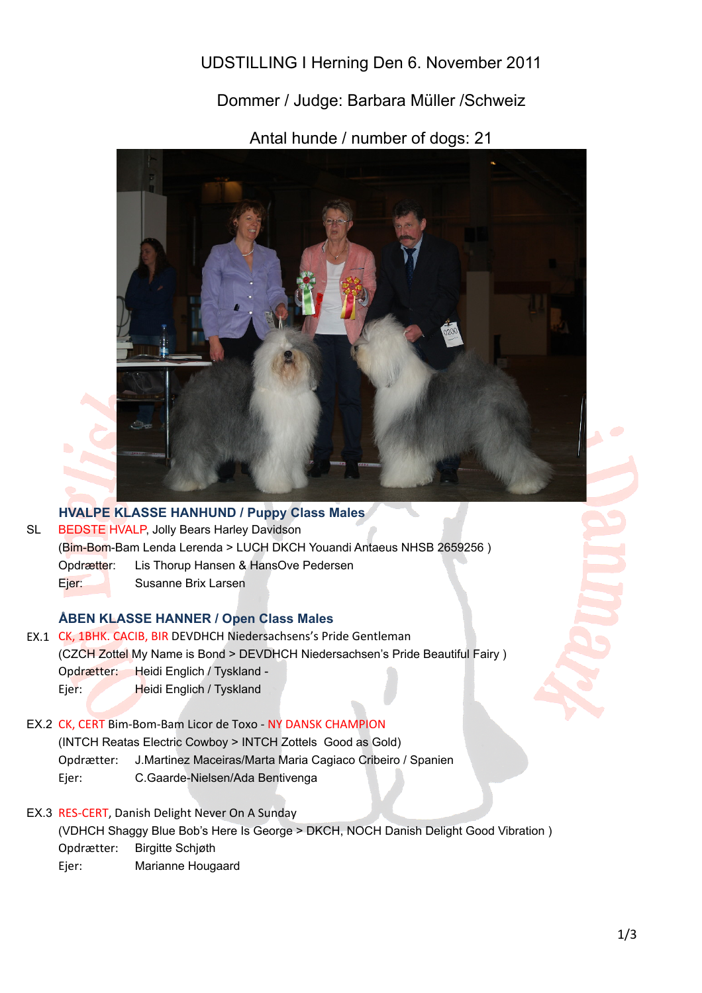UDSTILLING I Herning Den 6. November 2011

Dommer / Judge: Barbara Müller /Schweiz

Antal hunde / number of dogs: 21



**HVALPE KLASSE HANHUND / Puppy Class Males** SL Opdrætter: Lis Thorup Hansen & HansOve Pedersen BEDSTE HVALP, Jolly Bears Harley Davidson (Bim-Bom-Bam Lenda Lerenda > LUCH DKCH Youandi Antaeus NHSB 2659256 )

Ejer: Susanne Brix Larsen

## **ÅBEN KLASSE HANNER / Open Class Males**

- EX.1 CK, 1BHK. CACIB, BIR DEVDHCH Niedersachsens's Pride Gentleman Opdrætter: Heidi Englich / Tyskland - Ejer: Heidi Englich / Tyskland (CZCH Zottel My Name is Bond > DEVDHCH Niedersachsen's Pride Beautiful Fairy )
- EX.2 CK, CERT Bim-Bom-Bam Licor de Toxo NY DANSK CHAMPION Opdrætter: J.Martinez Maceiras/Marta Maria Cagiaco Cribeiro / Spanien Ejer: C.Gaarde-Nielsen/Ada Bentivenga (INTCH Reatas Electric Cowboy > INTCH Zottels Good as Gold)
- EX.3 RES-CERT, Danish Delight Never On A Sunday

Opdrætter: Birgitte Schjøth (VDHCH Shaggy Blue Bob's Here Is George > DKCH, NOCH Danish Delight Good Vibration )

Ejer: Marianne Hougaard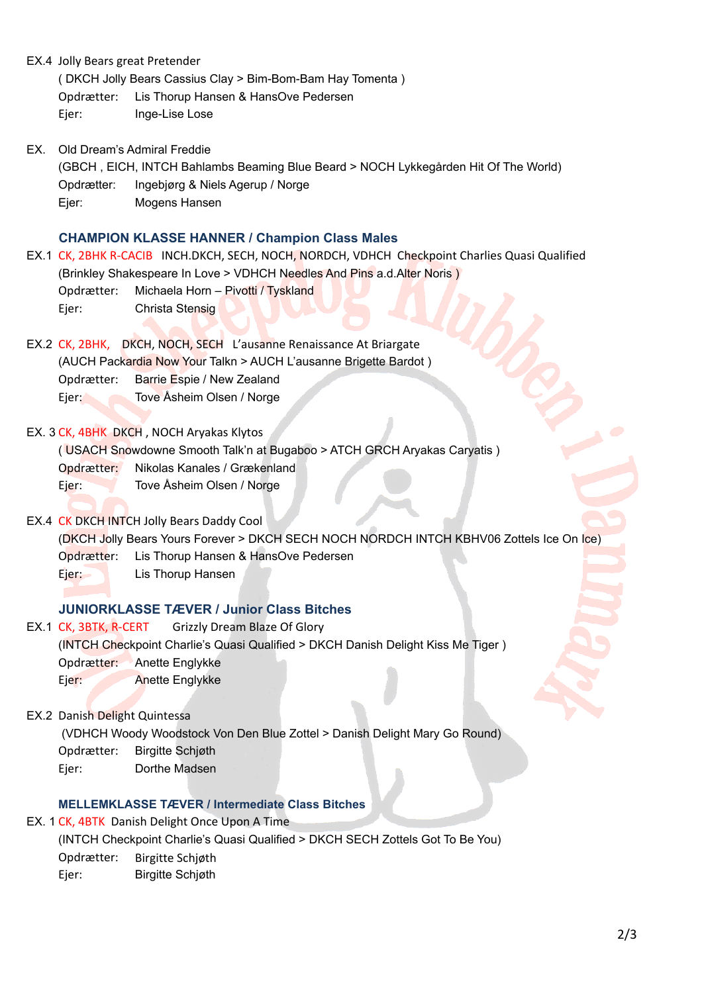EX.4 Jolly Bears great Pretender

( DKCH Jolly Bears Cassius Clay > Bim-Bom-Bam Hay Tomenta )

Opdrætter: Lis Thorup Hansen & HansOve Pedersen

Ejer: Inge-Lise Lose

EX. Old Dream's Admiral Freddie

Opdrætter: Ingebjørg & Niels Agerup / Norge Ejer: Mogens Hansen (GBCH , EICH, INTCH Bahlambs Beaming Blue Beard > NOCH Lykkegården Hit Of The World)

### **CHAMPION KLASSE HANNER / Champion Class Males**

EX.1 CK, 2BHK R-CACIB INCH.DKCH, SECH, NOCH, NORDCH, VDHCH Checkpoint Charlies Quasi Qualified Opdrætter: Michaela Horn – Pivotti / Tyskland Ejer: Christa Stensig (Brinkley Shakespeare In Love > VDHCH Needles And Pins a.d.Alter Noris )

EX.2 CK, 2BHK, DKCH, NOCH, SECH L'ausanne Renaissance At Briargate Opdrætter: Barrie Espie / New Zealand Ejer: Tove Åsheim Olsen / Norge (AUCH Packardia Now Your Talkn > AUCH L'ausanne Brigette Bardot )

EX. 3 CK, 4BHK DKCH, NOCH Aryakas Klytos

( USACH Snowdowne Smooth Talk'n at Bugaboo > ATCH GRCH Aryakas Caryatis )

Opdrætter: Nikolas Kanales / Grækenland

Ejer: Tove Åsheim Olsen / Norge

EX.4 CK DKCH INTCH Jolly Bears Daddy Cool

Opdrætter: Lis Thorup Hansen & HansOve Pedersen (DKCH Jolly Bears Yours Forever > DKCH SECH NOCH NORDCH INTCH KBHV06 Zottels Ice On Ice)

Ejer: Lis Thorup Hansen

#### **JUNIORKLASSE TÆVER / Junior Class Bitches**

EX.1 CK, 3BTK, R-CERT Opdrætter: Anette Englykke Ejer: Anette Englykke Grizzly Dream Blaze Of Glory (INTCH Checkpoint Charlie's Quasi Qualified > DKCH Danish Delight Kiss Me Tiger )

EX.2 Danish Delight Quintessa

(VDHCH Woody Woodstock Von Den Blue Zottel > Danish Delight Mary Go Round)

- Opdrætter: Birgitte Schjøth
- Ejer: Dorthe Madsen

#### **MELLEMKLASSE TÆVER / Intermediate Class Bitches**

EX. 1 CK, 4BTK Danish Delight Once Upon A Time

(INTCH Checkpoint Charlie's Quasi Qualified > DKCH SECH Zottels Got To Be You)

Opdrætter: Birgitte Schjøth

Ejer: Birgitte Schjøth